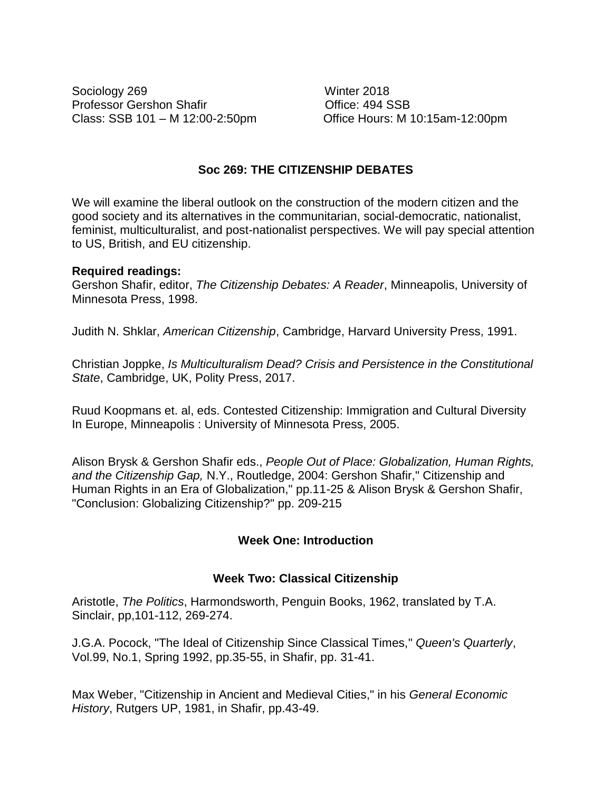Sociology 269 Winter 2018 Professor Gershon Shafir **Contact Contact Contact Contact Contact Contact Contact Contact Contact Contact Contact Contact Contact Contact Contact Contact Contact Contact Contact Contact Contact Contact Contact Contact Cont** Class: SSB 101 – M 12:00-2:50pm Office Hours: M 10:15am-12:00pm

# **Soc 269: THE CITIZENSHIP DEBATES**

We will examine the liberal outlook on the construction of the modern citizen and the good society and its alternatives in the communitarian, social-democratic, nationalist, feminist, multiculturalist, and post-nationalist perspectives. We will pay special attention to US, British, and EU citizenship.

# **Required readings:**

Gershon Shafir, editor, *The Citizenship Debates: A Reader*, Minneapolis, University of Minnesota Press, 1998.

Judith N. Shklar, *American Citizenship*, Cambridge, Harvard University Press, 1991.

Christian Joppke, *Is Multiculturalism Dead? Crisis and Persistence in the Constitutional State*, Cambridge, UK, Polity Press, 2017.

Ruud Koopmans et. al, eds. Contested Citizenship: Immigration and Cultural Diversity In Europe, Minneapolis : University of Minnesota Press, 2005.

Alison Brysk & Gershon Shafir eds., *People Out of Place: Globalization, Human Rights, and the Citizenship Gap,* N.Y., Routledge, 2004: Gershon Shafir," Citizenship and Human Rights in an Era of Globalization," pp.11-25 & Alison Brysk & Gershon Shafir, "Conclusion: Globalizing Citizenship?" pp. 209-215

# **Week One: Introduction**

# **Week Two: Classical Citizenship**

Aristotle, *The Politics*, Harmondsworth, Penguin Books, 1962, translated by T.A. Sinclair, pp,101-112, 269-274.

J.G.A. Pocock, "The Ideal of Citizenship Since Classical Times," *Queen's Quarterly*, Vol.99, No.1, Spring 1992, pp.35-55, in Shafir, pp. 31-41.

Max Weber, "Citizenship in Ancient and Medieval Cities," in his *General Economic History*, Rutgers UP, 1981, in Shafir, pp.43-49.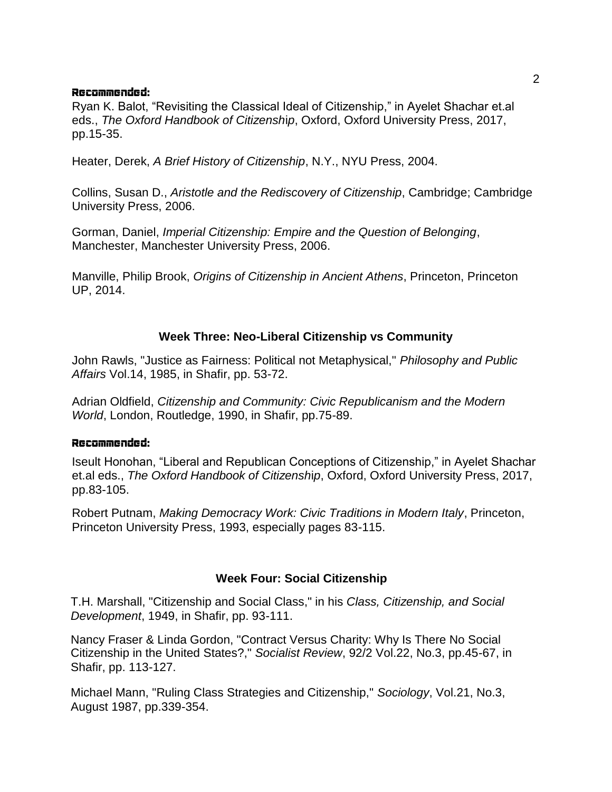### Recommended:

Ryan K. Balot, "Revisiting the Classical Ideal of Citizenship," in Ayelet Shachar et.al eds., *The Oxford Handbook of Citizensh*i*p*, Oxford, Oxford University Press, 2017, pp.15-35.

Heater, Derek, *A Brief History of Citizenship*, N.Y., NYU Press, 2004.

Collins, Susan D., *Aristotle and the Rediscovery of Citizenship*, Cambridge; Cambridge University Press, 2006.

Gorman, Daniel, *Imperial Citizenship: Empire and the Question of Belonging*, Manchester, Manchester University Press, 2006.

Manville, Philip Brook, *Origins of Citizenship in Ancient Athens*, Princeton, Princeton UP, 2014.

# **Week Three: Neo-Liberal Citizenship vs Community**

John Rawls, "Justice as Fairness: Political not Metaphysical," *Philosophy and Public Affairs* Vol.14, 1985, in Shafir, pp. 53-72.

Adrian Oldfield, *Citizenship and Community: Civic Republicanism and the Modern World*, London, Routledge, 1990, in Shafir, pp.75-89.

#### Recommended:

Iseult Honohan, "Liberal and Republican Conceptions of Citizenship," in Ayelet Shachar et.al eds., *The Oxford Handbook of Citizensh*i*p*, Oxford, Oxford University Press, 2017, pp.83-105.

Robert Putnam, *Making Democracy Work: Civic Traditions in Modern Italy*, Princeton, Princeton University Press, 1993, especially pages 83-115.

# **Week Four: Social Citizenship**

T.H. Marshall, "Citizenship and Social Class," in his *Class, Citizenship, and Social Development*, 1949, in Shafir, pp. 93-111.

Nancy Fraser & Linda Gordon, "Contract Versus Charity: Why Is There No Social Citizenship in the United States?," *Socialist Review*, 92/2 Vol.22, No.3, pp.45-67, in Shafir, pp. 113-127.

Michael Mann, "Ruling Class Strategies and Citizenship," *Sociology*, Vol.21, No.3, August 1987, pp.339-354.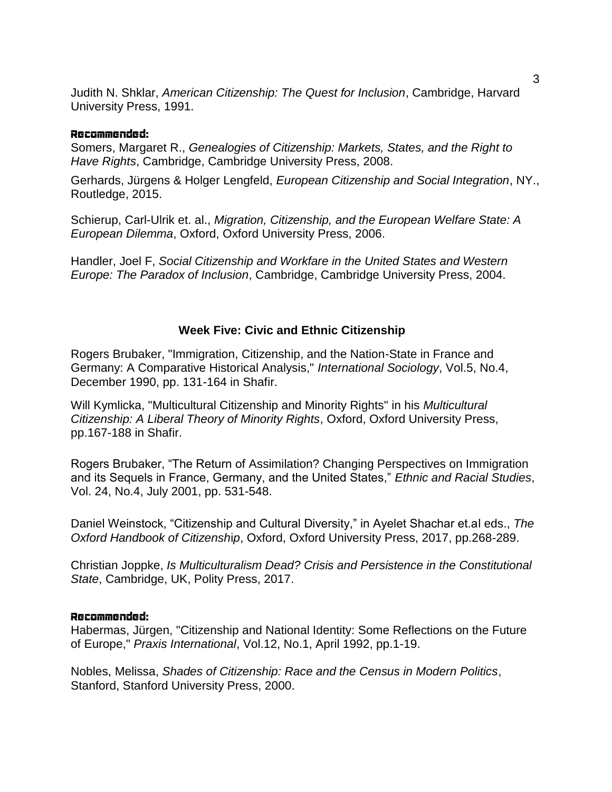Judith N. Shklar, *American Citizenship: The Quest for Inclusion*, Cambridge, Harvard University Press, 1991.

### Recommended:

Somers, Margaret R., *Genealogies of Citizenship: Markets, States, and the Right to Have Rights*, Cambridge, Cambridge University Press, 2008.

Gerhards, Jürgens & Holger Lengfeld, *European Citizenship and Social Integration*, NY., Routledge, 2015.

Schierup, Carl-Ulrik et. al., *Migration, Citizenship, and the European Welfare State: A European Dilemma*, Oxford, Oxford University Press, 2006.

Handler, Joel F, *Social Citizenship and Workfare in the United States and Western Europe: The Paradox of Inclusion*, Cambridge, Cambridge University Press, 2004.

### **Week Five: Civic and Ethnic Citizenship**

Rogers Brubaker, "Immigration, Citizenship, and the Nation-State in France and Germany: A Comparative Historical Analysis," *International Sociology*, Vol.5, No.4, December 1990, pp. 131-164 in Shafir.

Will Kymlicka, "Multicultural Citizenship and Minority Rights" in his *Multicultural Citizenship: A Liberal Theory of Minority Rights*, Oxford, Oxford University Press, pp.167-188 in Shafir.

Rogers Brubaker, "The Return of Assimilation? Changing Perspectives on Immigration and its Sequels in France, Germany, and the United States," *Ethnic and Racial Studies*, Vol. 24, No.4, July 2001, pp. 531-548.

Daniel Weinstock, "Citizenship and Cultural Diversity," in Ayelet Shachar et.al eds., *The Oxford Handbook of Citizensh*i*p*, Oxford, Oxford University Press, 2017, pp.268-289.

Christian Joppke, *Is Multiculturalism Dead? Crisis and Persistence in the Constitutional State*, Cambridge, UK, Polity Press, 2017.

#### Recommended:

Habermas, Jürgen, "Citizenship and National Identity: Some Reflections on the Future of Europe," *Praxis International*, Vol.12, No.1, April 1992, pp.1-19.

Nobles, Melissa, *Shades of Citizenship: Race and the Census in Modern Politics*, Stanford, Stanford University Press, 2000.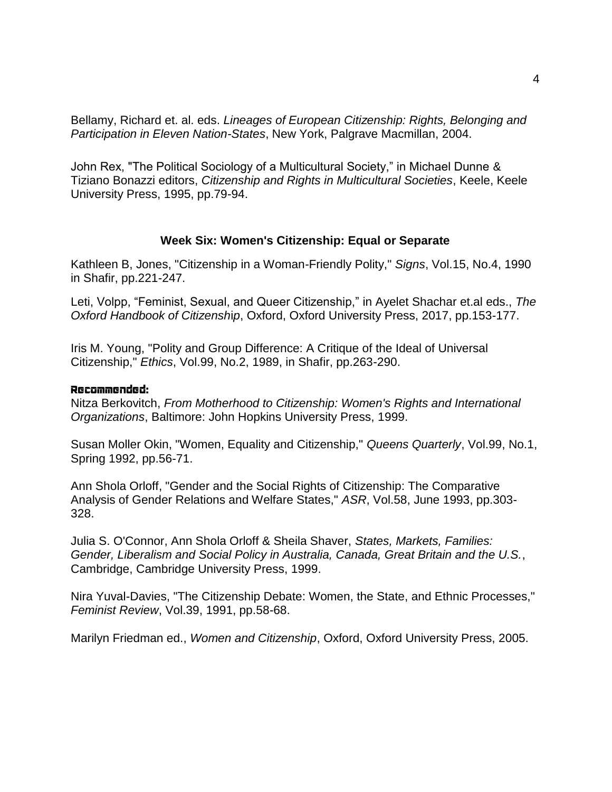Bellamy, Richard et. al. eds. *Lineages of European Citizenship: Rights, Belonging and Participation in Eleven Nation-States*, New York, Palgrave Macmillan, 2004.

John Rex, "The Political Sociology of a Multicultural Society," in Michael Dunne & Tiziano Bonazzi editors, *Citizenship and Rights in Multicultural Societies*, Keele, Keele University Press, 1995, pp.79-94.

### **Week Six: Women's Citizenship: Equal or Separate**

Kathleen B, Jones, "Citizenship in a Woman-Friendly Polity," *Signs*, Vol.15, No.4, 1990 in Shafir, pp.221-247.

Leti, Volpp, "Feminist, Sexual, and Queer Citizenship," in Ayelet Shachar et.al eds., *The Oxford Handbook of Citizensh*i*p*, Oxford, Oxford University Press, 2017, pp.153-177.

Iris M. Young, "Polity and Group Difference: A Critique of the Ideal of Universal Citizenship," *Ethics*, Vol.99, No.2, 1989, in Shafir, pp.263-290.

#### Recommended:

Nitza Berkovitch, *From Motherhood to Citizenship: Women's Rights and International Organizations*, Baltimore: John Hopkins University Press, 1999.

Susan Moller Okin, "Women, Equality and Citizenship," *Queens Quarterly*, Vol.99, No.1, Spring 1992, pp.56-71.

Ann Shola Orloff, "Gender and the Social Rights of Citizenship: The Comparative Analysis of Gender Relations and Welfare States," *ASR*, Vol.58, June 1993, pp.303- 328.

Julia S. O'Connor, Ann Shola Orloff & Sheila Shaver, *States, Markets, Families: Gender, Liberalism and Social Policy in Australia, Canada, Great Britain and the U.S.*, Cambridge, Cambridge University Press, 1999.

Nira Yuval-Davies, "The Citizenship Debate: Women, the State, and Ethnic Processes," *Feminist Review*, Vol.39, 1991, pp.58-68.

Marilyn Friedman ed., *Women and Citizenship*, Oxford, Oxford University Press, 2005.